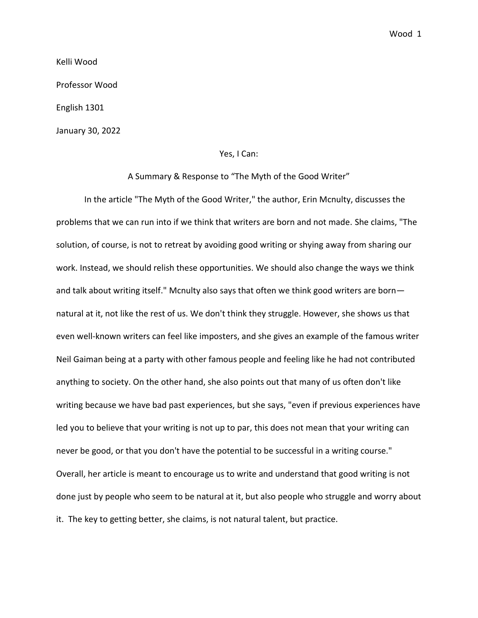Wood 1

Kelli Wood

Professor Wood

English 1301

January 30, 2022

## Yes, I Can:

A Summary & Response to "The Myth of the Good Writer"

In the article "The Myth of the Good Writer," the author, Erin Mcnulty, discusses the problems that we can run into if we think that writers are born and not made. She claims, "The solution, of course, is not to retreat by avoiding good writing or shying away from sharing our work. Instead, we should relish these opportunities. We should also change the ways we think and talk about writing itself." Mcnulty also says that often we think good writers are born natural at it, not like the rest of us. We don't think they struggle. However, she shows us that even well-known writers can feel like imposters, and she gives an example of the famous writer Neil Gaiman being at a party with other famous people and feeling like he had not contributed anything to society. On the other hand, she also points out that many of us often don't like writing because we have bad past experiences, but she says, "even if previous experiences have led you to believe that your writing is not up to par, this does not mean that your writing can never be good, or that you don't have the potential to be successful in a writing course." Overall, her article is meant to encourage us to write and understand that good writing is not done just by people who seem to be natural at it, but also people who struggle and worry about it. The key to getting better, she claims, is not natural talent, but practice.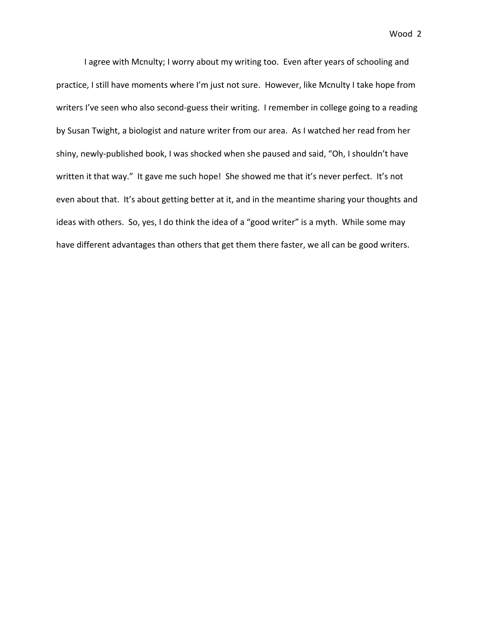Wood 2

I agree with Mcnulty; I worry about my writing too. Even after years of schooling and practice, I still have moments where I'm just not sure. However, like Mcnulty I take hope from writers I've seen who also second-guess their writing. I remember in college going to a reading by Susan Twight, a biologist and nature writer from our area. As I watched her read from her shiny, newly-published book, I was shocked when she paused and said, "Oh, I shouldn't have written it that way." It gave me such hope! She showed me that it's never perfect. It's not even about that. It's about getting better at it, and in the meantime sharing your thoughts and ideas with others. So, yes, I do think the idea of a "good writer" is a myth. While some may have different advantages than others that get them there faster, we all can be good writers.